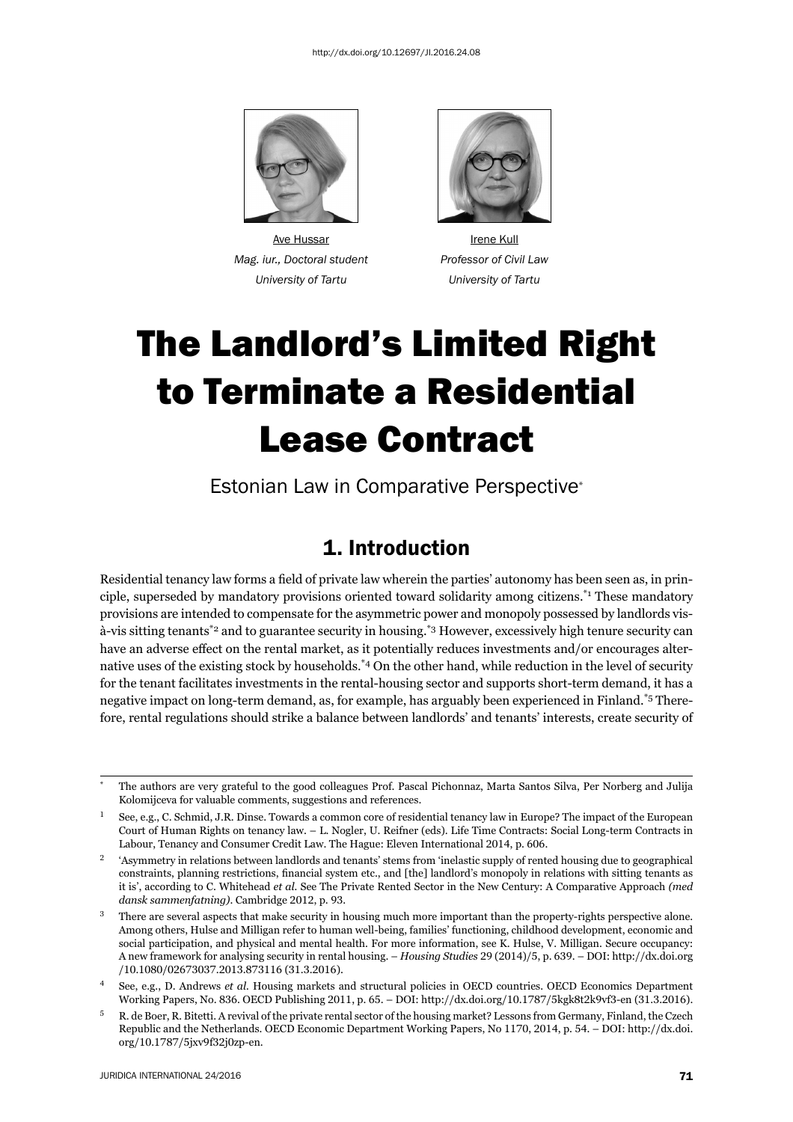

*Mag. iur., Doctoral student Professor of Civil Law*



Ave Hussar **Irene Kull**  *University of Tartu University of Tartu*

# The Landlord's Limited Right to Terminate a Residential Lease Contract

Estonian Law in Comparative Perspective\*

### 1. Introduction

Residential tenancy law forms a field of private law wherein the parties' autonomy has been seen as, in principle, superseded by mandatory provisions oriented toward solidarity among citizens.\*1 These mandatory provisions are intended to compensate for the asymmetric power and monopoly possessed by landlords visà-vis sitting tenants\*2 and to guarantee security in housing.\*3 However, excessively high tenure security can have an adverse effect on the rental market, as it potentially reduces investments and/or encourages alternative uses of the existing stock by households.<sup>\*4</sup> On the other hand, while reduction in the level of security for the tenant facilitates investments in the rental-housing sector and supports short-term demand, it has a negative impact on long-term demand, as, for example, has arguably been experienced in Finland.\*5 Therefore, rental regulations should strike a balance between landlords' and tenants' interests, create security of

The authors are very grateful to the good colleagues Prof. Pascal Pichonnaz, Marta Santos Silva, Per Norberg and Julija Kolomijceva for valuable comments, suggestions and references.

See, e.g., C. Schmid, J.R. Dinse. Towards a common core of residential tenancy law in Europe? The impact of the European Court of Human Rights on tenancy law. – L. Nogler, U. Reifner (eds). Life Time Contracts: Social Long-term Contracts in Labour, Tenancy and Consumer Credit Law. The Hague: Eleven International 2014, p. 606.

<sup>&</sup>lt;sup>2</sup> 'Asymmetry in relations between landlords and tenants' stems from 'inelastic supply of rented housing due to geographical constraints, planning restrictions, financial system etc., and [the] landlord's monopoly in relations with sitting tenants as it is', according to C. Whitehead *et al.* See The Private Rented Sector in the New Century: A Comparative Approach *(med dansk sammenfatning*). Cambridge 2012, p. 93.

<sup>&</sup>lt;sup>3</sup> There are several aspects that make security in housing much more important than the property-rights perspective alone. Among others, Hulse and Milligan refer to human well-being, families' functioning, childhood development, economic and social participation, and physical and mental health. For more information, see K. Hulse, V. Milligan. Secure occupancy: A new framework for analysing security in rental housing. – *Housing Studies* 29 (2014)/5, p. 639. – DOI: http://dx.doi.org /10.1080/02673037.2013.873116 (31.3.2016).

<sup>ɵ</sup> See, e.g., D. Andrews *et al.* Housing markets and structural policies in OECD countries. OECD Economics Department Working Papers, No. 836. OECD Publishing 2011, p. 65. – DOI: http://dx.doi.org/10.1787/5kgk8t2k9vf3-en (31.3.2016).

<sup>ɶ</sup> R. de Boer, R. Bitetti. A revival of the private rental sector of the housing market? Lessons from Germany, Finland, the Czech Republic and the Netherlands. OECD Economic Department Working Papers, No 1170, 2014, p. 54. – DOI: http://dx.doi. org/10.1787/5jxv9f32j0zp-en.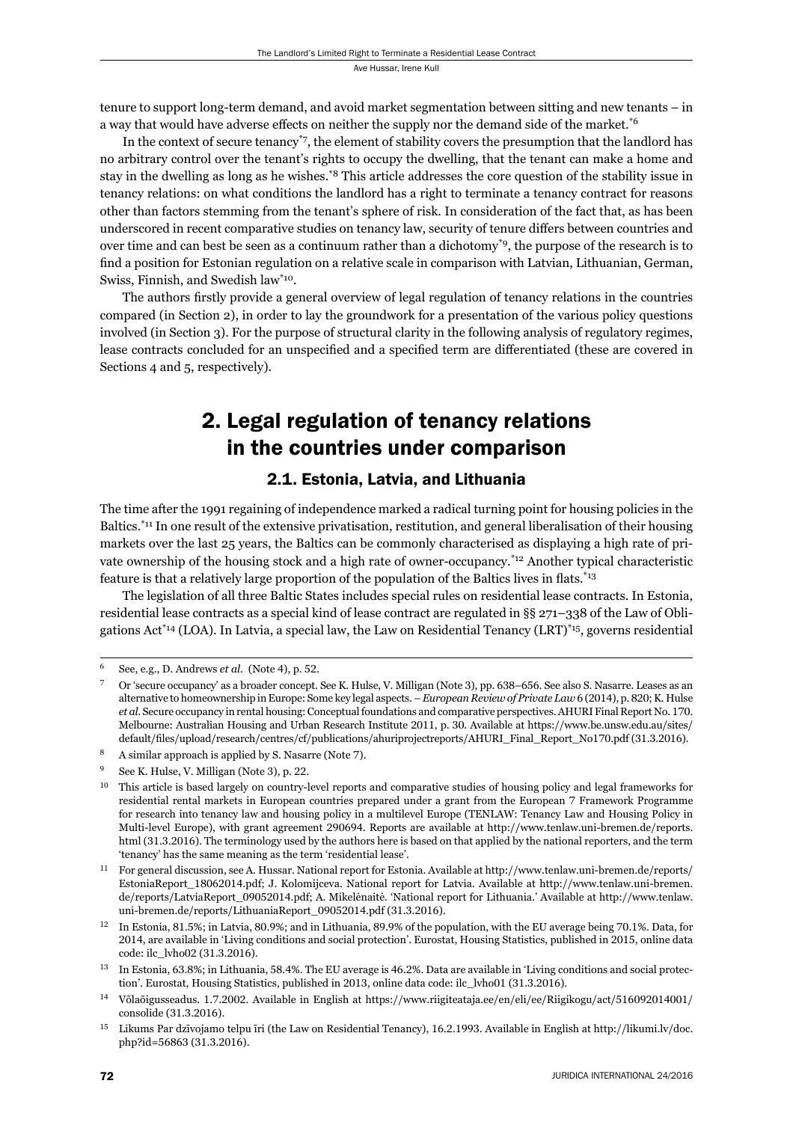tenure to support long-term demand, and avoid market segmentation between sitting and new tenants – in a way that would have adverse effects on neither the supply nor the demand side of the market.<sup>\*6</sup>

In the context of secure tenancy\*7, the element of stability covers the presumption that the landlord has no arbitrary control over the tenant's rights to occupy the dwelling, that the tenant can make a home and stay in the dwelling as long as he wishes.\*8 This article addresses the core question of the stability issue in tenancy relations: on what conditions the landlord has a right to terminate a tenancy contract for reasons other than factors stemming from the tenant's sphere of risk. In consideration of the fact that, as has been underscored in recent comparative studies on tenancy law, security of tenure differs between countries and over time and can best be seen as a continuum rather than a dichotomy<sup>\*9</sup>, the purpose of the research is to find a position for Estonian regulation on a relative scale in comparison with Latvian, Lithuanian, German, Swiss, Finnish, and Swedish law\*10.

The authors firstly provide a general overview of legal regulation of tenancy relations in the countries compared (in Section 2), in order to lay the groundwork for a presentation of the various policy questions involved (in Section 3). For the purpose of structural clarity in the following analysis of regulatory regimes, lease contracts concluded for an unspecified and a specified term are differentiated (these are covered in Sections 4 and 5, respectively).

### 2. Legal regulation of tenancy relations in the countries under comparison

### 2.1. Estonia, Latvia, and Lithuania

The time after the 1991 regaining of independence marked a radical turning point for housing policies in the Baltics.\*11 In one result of the extensive privatisation, restitution, and general liberalisation of their housing markets over the last 25 years, the Baltics can be commonly characterised as displaying a high rate of private ownership of the housing stock and a high rate of owner-occupancy.<sup>\*12</sup> Another typical characteristic feature is that a relatively large proportion of the population of the Baltics lives in flats.<sup>\*13</sup>

The legislation of all three Baltic States includes special rules on residential lease contracts. In Estonia, residential lease contracts as a special kind of lease contract are regulated in §§ 271–338 of the Law of Obligations Act<sup>\*14</sup> (LOA). In Latvia, a special law, the Law on Residential Tenancy (LRT)<sup>\*15</sup>, governs residential

<sup>&</sup>lt;sup>6</sup> See, e.g., D. Andrews *et al.* (Note 4), p. 52.

Or 'secure occupancy' as a broader concept. See K. Hulse, V. Milligan (Note 3), pp. 638-656. See also S. Nasarre. Leases as an alternative to homeownership in Europe: Some key legal aspects. – *European Review of Private Law* 6 (2014), p. 820; K. Hulse *et al.* Secure occupancy in rental housing: Conceptual foundations and comparative perspectives. AHURI Final Report No. 170. Melbourne: Australian Housing and Urban Research Institute 2011, p. 30. Available at https://www.be.unsw.edu.au/sites/ default/files/upload/research/centres/cf/publications/ahuriprojectreports/AHURI\_Final\_Report\_No170.pdf (31.3.2016).

 $\delta$  A similar approach is applied by S. Nasarre (Note 7).

See K. Hulse, V. Milligan (Note 3), p. 22.

<sup>&</sup>lt;sup>10</sup> This article is based largely on country-level reports and comparative studies of housing policy and legal frameworks for residential rental markets in European countries prepared under a grant from the European 7 Framework Programme for research into tenancy law and housing policy in a multilevel Europe (TENLAW: Tenancy Law and Housing Policy in Multi-level Europe), with grant agreement 290694. Reports are available at http://www.tenlaw.uni-bremen.de/reports. html (31.3.2016). The terminology used by the authors here is based on that applied by the national reporters, and the term 'tenancy' has the same meaning as the term 'residential lease'.

<sup>&</sup>lt;sup>11</sup> For general discussion, see A. Hussar. National report for Estonia. Available at http://www.tenlaw.uni-bremen.de/reports/ EstoniaReport\_18062014.pdf; J. Kolomijceva. National report for Latvia. Available at http://www.tenlaw.uni-bremen. de/reports/LatviaReport\_09052014.pdf; A. Mikelėnaitė. 'National report for Lithuania.' Available at http://www.tenlaw. uni-bremen.de/reports/LithuaniaReport\_09052014.pdf (31.3.2016).

<sup>&</sup>lt;sup>12</sup> In Estonia, 81.5%; in Latvia, 80.9%; and in Lithuania, 89.9% of the population, with the EU average being 70.1%. Data, for 2014, are available in 'Living conditions and social protection'. Eurostat, Housing Statistics, published in 2015, online data code: ilc\_lvho02 (31.3.2016).

<sup>&</sup>lt;sup>13</sup> In Estonia, 63.8%; in Lithuania, 58.4%. The EU average is 46.2%. Data are available in 'Living conditions and social protection'. Eurostat, Housing Statistics, published in 2013, online data code: ilc\_lvho01 (31.3.2016).

<sup>&</sup>lt;sup>14</sup> Võlaõigusseadus. 1.7.2002. Available in English at https://www.riigiteataja.ee/en/eli/ee/Riigikogu/act/516092014001/ consolide (31.3.2016).

<sup>&</sup>lt;sup>15</sup> Likums Par dzīvojamo telpu īri (the Law on Residential Tenancy), 16.2.1993. Available in English at http://likumi.lv/doc. php?id=56863 (31.3.2016).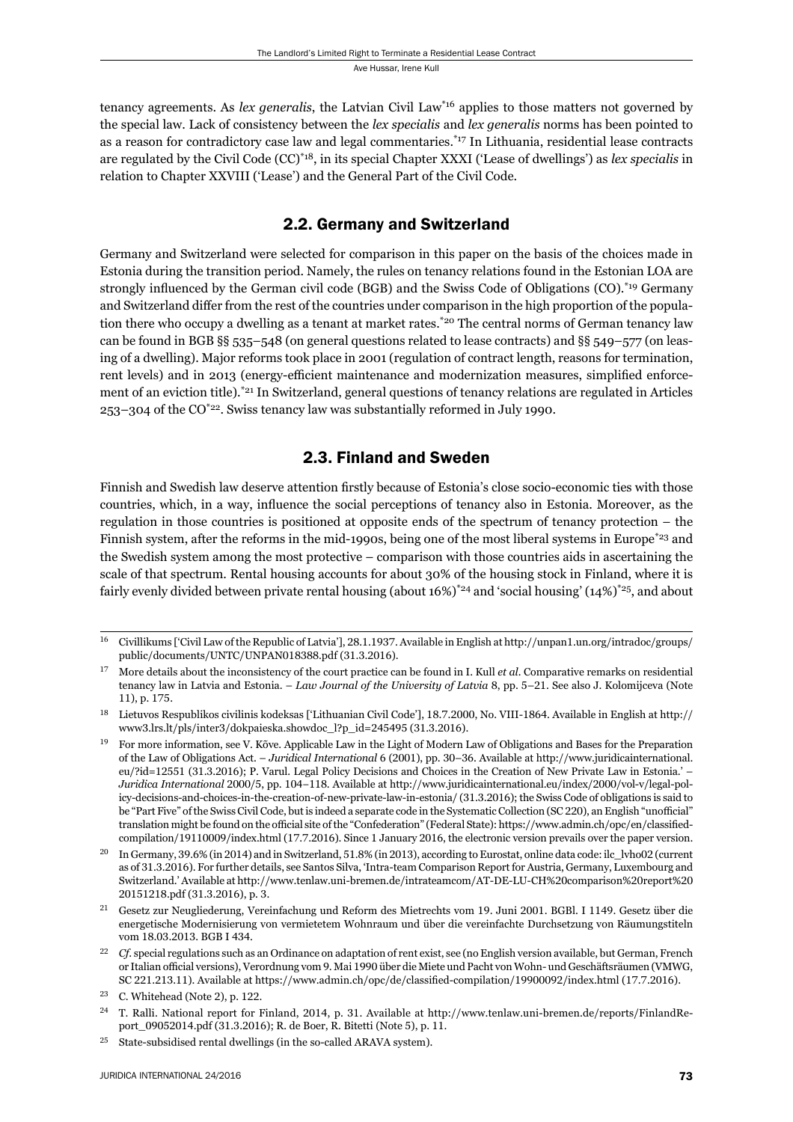tenancy agreements. As *lex generalis*, the Latvian Civil Law\*16 applies to those matters not governed by the special law. Lack of consistency between the *lex specialis* and *lex generalis* norms has been pointed to as a reason for contradictory case law and legal commentaries.\*17 In Lithuania, residential lease contracts are regulated by the Civil Code (CC)\*18, in its special Chapter XXXI ('Lease of dwellings') as *lex specialis* in relation to Chapter XXVIII ('Lease') and the General Part of the Civil Code.

### 2.2. Germany and Switzerland

Germany and Switzerland were selected for comparison in this paper on the basis of the choices made in Estonia during the transition period. Namely, the rules on tenancy relations found in the Estonian LOA are strongly influenced by the German civil code (BGB) and the Swiss Code of Obligations (CO).<sup>\*19</sup> Germany and Switzerland differ from the rest of the countries under comparison in the high proportion of the population there who occupy a dwelling as a tenant at market rates.<sup>\*20</sup> The central norms of German tenancy law can be found in BGB §§ 535–548 (on general questions related to lease contracts) and §§ 549–577 (on leasing of a dwelling). Major reforms took place in 2001 (regulation of contract length, reasons for termination, rent levels) and in 2013 (energy-efficient maintenance and modernization measures, simplified enforcement of an eviction title).\*21 In Switzerland, general questions of tenancy relations are regulated in Articles 253–304 of the CO\*22. Swiss tenancy law was substantially reformed in July 1990.

### 2.3. Finland and Sweden

Finnish and Swedish law deserve attention firstly because of Estonia's close socio-economic ties with those countries, which, in a way, influence the social perceptions of tenancy also in Estonia. Moreover, as the regulation in those countries is positioned at opposite ends of the spectrum of tenancy protection – the Finnish system, after the reforms in the mid-1990s, being one of the most liberal systems in Europe<sup>\*23</sup> and the Swedish system among the most protective – comparison with those countries aids in ascertaining the scale of that spectrum. Rental housing accounts for about 30% of the housing stock in Finland, where it is fairly evenly divided between private rental housing (about 16%)<sup>\*24</sup> and 'social housing' (14%)<sup>\*25</sup>, and about

<sup>&</sup>lt;sup>16</sup> Civillikums ['Civil Law of the Republic of Latvia'], 28.1.1937. Available in English at http://unpan1.un.org/intradoc/groups/ public/documents/UNTC/UNPAN018388.pdf (31.3.2016).

More details about the inconsistency of the court practice can be found in I. Kull *et al.* Comparative remarks on residential tenancy law in Latvia and Estonia. – *Law Journal of the University of Latvia* 8, pp. 5–21. See also J. Kolomijceva (Note 11), p. 175.

<sup>&</sup>lt;sup>18</sup> Lietuvos Respublikos civilinis kodeksas ['Lithuanian Civil Code'], 18.7.2000, No. VIII-1864. Available in English at http:// www3.lrs.lt/pls/inter3/dokpaieska.showdoc\_l?p\_id=245495 (31.3.2016).

 $^{19}$  For more information, see V. Kõve. Applicable Law in the Light of Modern Law of Obligations and Bases for the Preparation of the Law of Obligations Act. – *Juridical International* 6 (2001), pp. 30–36. Available at http://www.juridicainternational. eu/?id=12551 (31.3.2016); P. Varul. Legal Policy Decisions and Choices in the Creation of New Private Law in Estonia.' – *Juridica International* 2000/5, pp. 104-118. Available at http://www.juridicainternational.eu/index/2000/vol-v/legal-policy-decisions-and-choices-in-the-creation-of-new-private-law-in-estonia/ (31.3.2016); the Swiss Code of obligations is said to be "Part Five" of the Swiss Civil Code, but is indeed a separate code in the Systematic Collection (SC 220), an English "unofficial" translation might be found on the official site of the "Confederation" (Federal State): https://www.admin.ch/opc/en/classifiedcompilation/19110009/index.html (17.7.2016). Since 1 January 2016, the electronic version prevails over the paper version.

In Germany, 39.6% (in 2014) and in Switzerland, 51.8% (in 2013), according to Eurostat, online data code: ilc\_lvho02 (current as of 31.3.2016). For further details, see Santos Silva, 'Intra-team Comparison Report for Austria, Germany, Luxembourg and Switzerland.' Available at http://www.tenlaw.uni-bremen.de/intrateamcom/AT-DE-LU-CH%20comparison%20report%20 20151218.pdf (31.3.2016), p. 3.

<sup>&</sup>lt;sup>21</sup> Gesetz zur Neugliederung, Vereinfachung und Reform des Mietrechts vom 19. Juni 2001. BGBl. I 1149. Gesetz über die energetische Modernisierung von vermietetem Wohnraum und über die vereinfachte Durchsetzung von Räumungstiteln vom 18.03.2013. BGB I 434.

Cf. special regulations such as an Ordinance on adaptation of rent exist, see (no English version available, but German, French or Italian official versions), Verordnung vom 9. Mai 1990 über die Miete und Pacht von Wohn- und Geschäftsräumen (VMWG, SC 221.213.11). Available at https://www.admin.ch/opc/de/classified-compilation/19900092/index.html (17.7.2016).

 $23$  C. Whitehead (Note 2), p. 122.

<sup>&</sup>lt;sup>24</sup> T. Ralli. National report for Finland, 2014, p. 31. Available at http://www.tenlaw.uni-bremen.de/reports/FinlandReport\_09052014.pdf (31.3.2016); R. de Boer, R. Bitetti (Note 5), p. 11.

<sup>&</sup>lt;sup>25</sup> State-subsidised rental dwellings (in the so-called ARAVA system).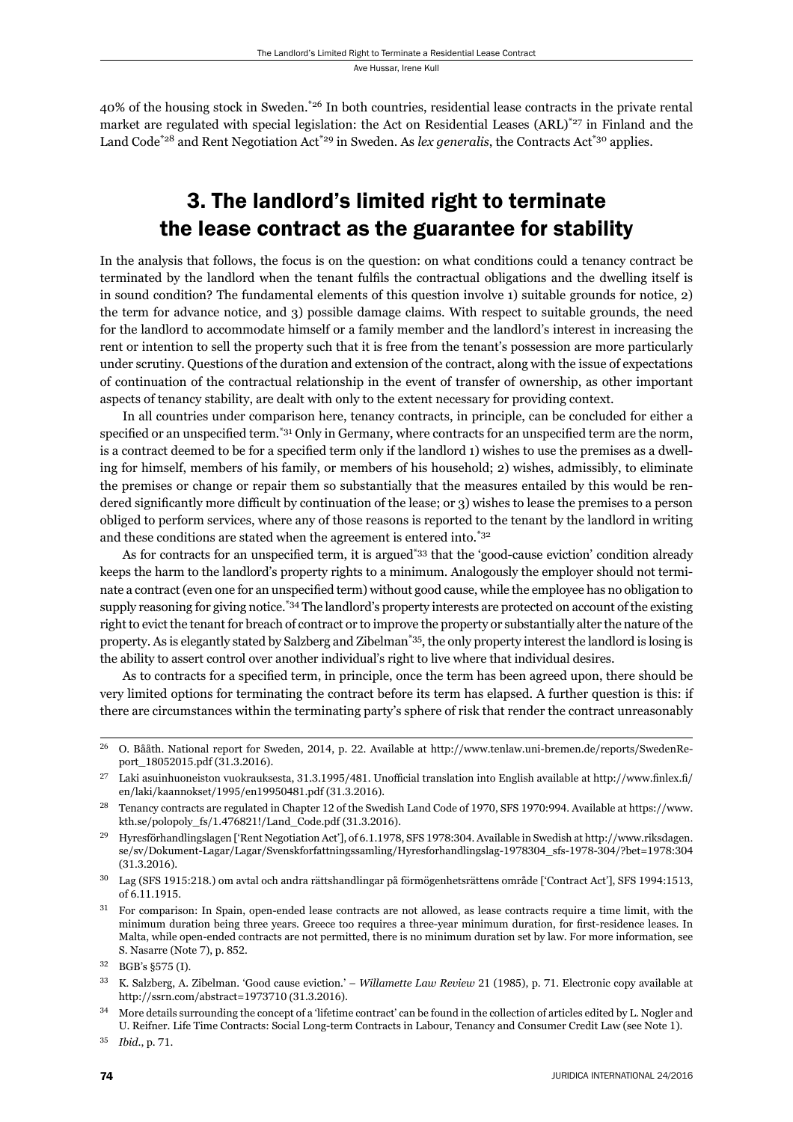40% of the housing stock in Sweden.\*26 In both countries, residential lease contracts in the private rental market are regulated with special legislation: the Act on Residential Leases (ARL)\*27 in Finland and the Land Code<sup>\*28</sup> and Rent Negotiation Act<sup>\*29</sup> in Sweden. As *lex generalis*, the Contracts Act<sup>\*30</sup> applies.

# 3. The landlord's limited right to terminate the lease contract as the guarantee for stability

In the analysis that follows, the focus is on the question: on what conditions could a tenancy contract be terminated by the landlord when the tenant fulfils the contractual obligations and the dwelling itself is in sound condition? The fundamental elements of this question involve 1) suitable grounds for notice, 2) the term for advance notice, and 3) possible damage claims. With respect to suitable grounds, the need for the landlord to accommodate himself or a family member and the landlord's interest in increasing the rent or intention to sell the property such that it is free from the tenant's possession are more particularly under scrutiny. Questions of the duration and extension of the contract, along with the issue of expectations of continuation of the contractual relationship in the event of transfer of ownership, as other important aspects of tenancy stability, are dealt with only to the extent necessary for providing context.

In all countries under comparison here, tenancy contracts, in principle, can be concluded for either a specified or an unspecified term.<sup>\*31</sup> Only in Germany, where contracts for an unspecified term are the norm, is a contract deemed to be for a specified term only if the landlord 1) wishes to use the premises as a dwelling for himself, members of his family, or members of his household; 2) wishes, admissibly, to eliminate the premises or change or repair them so substantially that the measures entailed by this would be rendered significantly more difficult by continuation of the lease; or 3) wishes to lease the premises to a person obliged to perform services, where any of those reasons is reported to the tenant by the landlord in writing and these conditions are stated when the agreement is entered into.\*32

As for contracts for an unspecified term, it is argued<sup>\*33</sup> that the 'good-cause eviction' condition already keeps the harm to the landlord's property rights to a minimum. Analogously the employer should not terminate a contract (even one for an unspecified term) without good cause, while the employee has no obligation to supply reasoning for giving notice.<sup>\*34</sup> The landlord's property interests are protected on account of the existing right to evict the tenant for breach of contract or to improve the property or substantially alter the nature of the property. As is elegantly stated by Salzberg and Zibelman\*35, the only property interest the landlord is losing is the ability to assert control over another individual's right to live where that individual desires.

As to contracts for a specified term, in principle, once the term has been agreed upon, there should be very limited options for terminating the contract before its term has elapsed. A further question is this: if there are circumstances within the terminating party's sphere of risk that render the contract unreasonably

<sup>31</sup> For comparison: In Spain, open-ended lease contracts are not allowed, as lease contracts require a time limit, with the minimum duration being three years. Greece too requires a three-year minimum duration, for first-residence leases. In Malta, while open-ended contracts are not permitted, there is no minimum duration set by law. For more information, see S. Nasarre (Note 7), p. 852.

<sup>&</sup>lt;sup>26</sup> O. Bååth. National report for Sweden, 2014, p. 22. Available at http://www.tenlaw.uni-bremen.de/reports/SwedenReport\_18052015.pdf (31.3.2016).

<sup>&</sup>lt;sup>27</sup> Laki asuinhuoneiston vuokrauksesta, 31.3.1995/481. Unofficial translation into English available at http://www.finlex.fi/ en/laki/kaannokset/1995/en19950481.pdf (31.3.2016).

<sup>&</sup>lt;sup>28</sup> Tenancy contracts are regulated in Chapter 12 of the Swedish Land Code of 1970, SFS 1970:994. Available at https://www. kth.se/polopoly\_fs/1.476821!/Land\_Code.pdf (31.3.2016).

<sup>&</sup>lt;sup>29</sup> Hyresförhandlingslagen ['Rent Negotiation Act'], of 6.1.1978, SFS 1978:304. Available in Swedish at http://www.riksdagen. se/sv/Dokument-Lagar/Lagar/Svenskforfattningssamling/Hyresforhandlingslag-1978304\_sfs-1978-304/?bet=1978:304  $(31.3.2016).$ 

<sup>&</sup>lt;sup>30</sup> Lag (SFS 1915:218.) om avtal och andra rättshandlingar på förmögenhetsrättens område ['Contract Act'], SFS 1994:1513, of 6.11.1915.

 $32$  BGB's §575 (I).

<sup>&</sup>lt;sup>33</sup> K. Salzberg, A. Zibelman. 'Good cause eviction.' – *Willamette Law Review* 21 (1985), p. 71. Electronic copy available at http://ssrn.com/abstract=1973710 (31.3.2016).

<sup>&</sup>lt;sup>34</sup> More details surrounding the concept of a 'lifetime contract' can be found in the collection of articles edited by L. Nogler and U. Reifner. Life Time Contracts: Social Long-term Contracts in Labour, Tenancy and Consumer Credit Law (see Note 1).

<sup>35</sup> *Ibid.*, p. 71.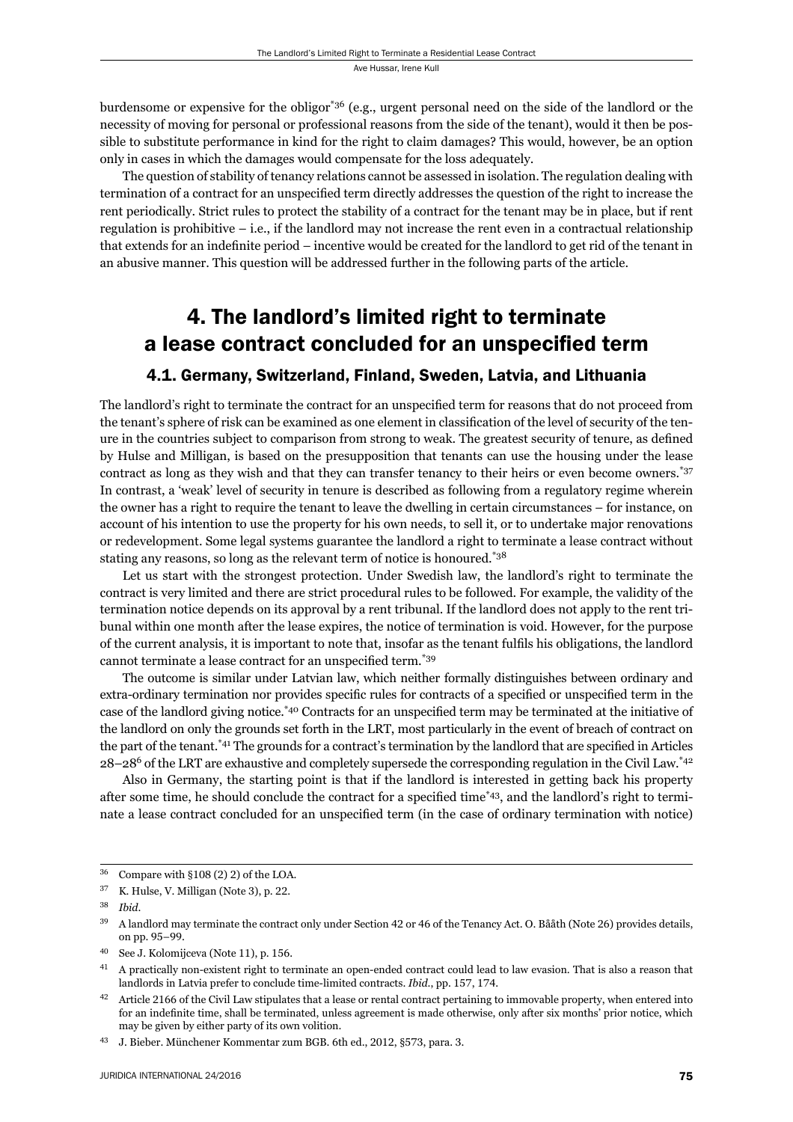burdensome or expensive for the obligor\*36 (e.g., urgent personal need on the side of the landlord or the necessity of moving for personal or professional reasons from the side of the tenant), would it then be possible to substitute performance in kind for the right to claim damages? This would, however, be an option only in cases in which the damages would compensate for the loss adequately.

The question of stability of tenancy relations cannot be assessed in isolation. The regulation dealing with termination of a contract for an unspecified term directly addresses the question of the right to increase the rent periodically. Strict rules to protect the stability of a contract for the tenant may be in place, but if rent regulation is prohibitive – i.e., if the landlord may not increase the rent even in a contractual relationship that extends for an indefinite period – incentive would be created for the landlord to get rid of the tenant in an abusive manner. This question will be addressed further in the following parts of the article.

# 4. The landlord's limited right to terminate a lease contract concluded for an unspecified term

### 4.1. Germany, Switzerland, Finland, Sweden, Latvia, and Lithuania

The landlord's right to terminate the contract for an unspecified term for reasons that do not proceed from the tenant's sphere of risk can be examined as one element in classification of the level of security of the tenure in the countries subject to comparison from strong to weak. The greatest security of tenure, as defined by Hulse and Milligan, is based on the presupposition that tenants can use the housing under the lease contract as long as they wish and that they can transfer tenancy to their heirs or even become owners.\*37 In contrast, a 'weak' level of security in tenure is described as following from a regulatory regime wherein the owner has a right to require the tenant to leave the dwelling in certain circumstances – for instance, on account of his intention to use the property for his own needs, to sell it, or to undertake major renovations or redevelopment. Some legal systems guarantee the landlord a right to terminate a lease contract without stating any reasons, so long as the relevant term of notice is honoured.\*38

Let us start with the strongest protection. Under Swedish law, the landlord's right to terminate the contract is very limited and there are strict procedural rules to be followed. For example, the validity of the termination notice depends on its approval by a rent tribunal. If the landlord does not apply to the rent tribunal within one month after the lease expires, the notice of termination is void. However, for the purpose of the current analysis, it is important to note that, insofar as the tenant fulfils his obligations, the landlord cannot terminate a lease contract for an unspecified term.<sup>\*39</sup>

The outcome is similar under Latvian law, which neither formally distinguishes between ordinary and extra-ordinary termination nor provides specific rules for contracts of a specified or unspecified term in the case of the landlord giving notice.<sup>\*40</sup> Contracts for an unspecified term may be terminated at the initiative of the landlord on only the grounds set forth in the LRT, most particularly in the event of breach of contract on the part of the tenant.<sup>\*41</sup> The grounds for a contract's termination by the landlord that are specified in Articles  $28-28^6$  of the LRT are exhaustive and completely supersede the corresponding regulation in the Civil Law.<sup>\*42</sup>

Also in Germany, the starting point is that if the landlord is interested in getting back his property after some time, he should conclude the contract for a specified time\*43, and the landlord's right to terminate a lease contract concluded for an unspecified term (in the case of ordinary termination with notice)

<sup>43</sup> J. Bieber. Münchener Kommentar zum BGB. 6th ed., 2012, §573, para. 3.

 $36$  Compare with §108 (2) 2) of the LOA.

 $37$  K. Hulse, V. Milligan (Note 3), p. 22.

ɴɹ *Ibid*.

<sup>&</sup>lt;sup>39</sup> A landlord may terminate the contract only under Section 42 or 46 of the Tenancy Act. O. Bååth (Note 26) provides details, on pp. 95-99.

<sup>&</sup>lt;sup>40</sup> See J. Kolomijceva (Note 11), p. 156.

<sup>&</sup>lt;sup>41</sup> A practically non-existent right to terminate an open-ended contract could lead to law evasion. That is also a reason that landlords in Latvia prefer to conclude time-limited contracts. *Ibid.*, pp. 157, 174.

Article 2166 of the Civil Law stipulates that a lease or rental contract pertaining to immovable property, when entered into for an indefinite time, shall be terminated, unless agreement is made otherwise, only after six months' prior notice, which may be given by either party of its own volition.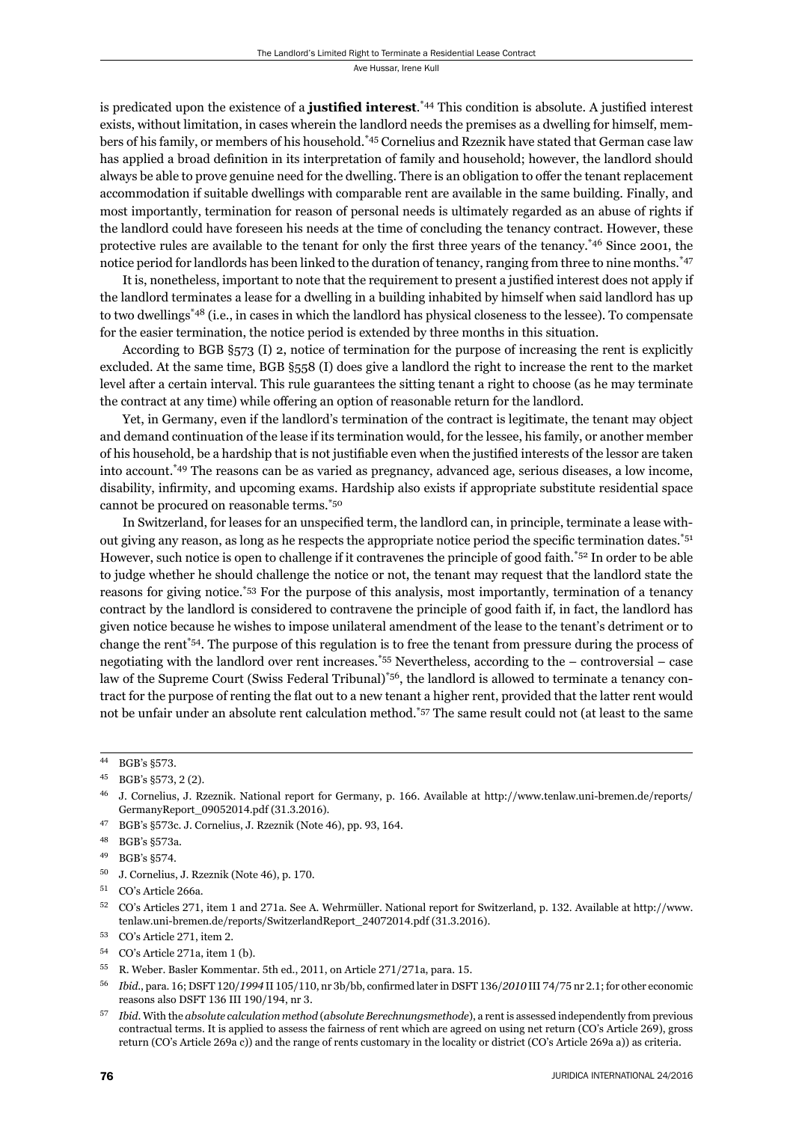is predicated upon the existence of a **justified interest**.<sup>\*44</sup> This condition is absolute. A justified interest exists, without limitation, in cases wherein the landlord needs the premises as a dwelling for himself, members of his family, or members of his household.\*45 Cornelius and Rzeznik have stated that German case law has applied a broad definition in its interpretation of family and household; however, the landlord should always be able to prove genuine need for the dwelling. There is an obligation to offer the tenant replacement accommodation if suitable dwellings with comparable rent are available in the same building. Finally, and most importantly, termination for reason of personal needs is ultimately regarded as an abuse of rights if the landlord could have foreseen his needs at the time of concluding the tenancy contract. However, these protective rules are available to the tenant for only the first three years of the tenancy.<sup> $*46$ </sup> Since 2001, the notice period for landlords has been linked to the duration of tenancy, ranging from three to nine months.\*47

It is, nonetheless, important to note that the requirement to present a justified interest does not apply if the landlord terminates a lease for a dwelling in a building inhabited by himself when said landlord has up to two dwellings\*48 (i.e., in cases in which the landlord has physical closeness to the lessee). To compensate for the easier termination, the notice period is extended by three months in this situation.

According to BGB §573 (I) 2, notice of termination for the purpose of increasing the rent is explicitly excluded. At the same time, BGB §558 (I) does give a landlord the right to increase the rent to the market level after a certain interval. This rule guarantees the sitting tenant a right to choose (as he may terminate the contract at any time) while offering an option of reasonable return for the landlord.

Yet, in Germany, even if the landlord's termination of the contract is legitimate, the tenant may object and demand continuation of the lease if its termination would, for the lessee, his family, or another member of his household, be a hardship that is not justifiable even when the justified interests of the lessor are taken into account.\*49 The reasons can be as varied as pregnancy, advanced age, serious diseases, a low income, disability, infirmity, and upcoming exams. Hardship also exists if appropriate substitute residential space cannot be procured on reasonable terms.\*50

In Switzerland, for leases for an unspecified term, the landlord can, in principle, terminate a lease without giving any reason, as long as he respects the appropriate notice period the specific termination dates.<sup>\*51</sup> However, such notice is open to challenge if it contravenes the principle of good faith.\*52 In order to be able to judge whether he should challenge the notice or not, the tenant may request that the landlord state the reasons for giving notice.\*53 For the purpose of this analysis, most importantly, termination of a tenancy contract by the landlord is considered to contravene the principle of good faith if, in fact, the landlord has given notice because he wishes to impose unilateral amendment of the lease to the tenant's detriment or to change the rent\*54. The purpose of this regulation is to free the tenant from pressure during the process of negotiating with the landlord over rent increases.\*55 Nevertheless, according to the – controversial – case law of the Supreme Court (Swiss Federal Tribunal)<sup>\*56</sup>, the landlord is allowed to terminate a tenancy contract for the purpose of renting the flat out to a new tenant a higher rent, provided that the latter rent would not be unfair under an absolute rent calculation method.\*57 The same result could not (at least to the same

<sup>44</sup> BGB's §573.

<sup>45</sup> BGB's §573, 2(2).

J. Cornelius, J. Rzeznik. National report for Germany, p. 166. Available at http://www.tenlaw.uni-bremen.de/reports/ GermanyReport\_09052014.pdf (31.3.2016).

<sup>&</sup>lt;sup>47</sup> BGB's §573c. J. Cornelius, J. Rzeznik (Note 46), pp. 93, 164.

<sup>48</sup> BGB's §573a.

<sup>&</sup>lt;sup>49</sup> BGB's §574.

 $^{50}$  J. Cornelius, J. Rzeznik (Note 46), p. 170.

<sup>&</sup>lt;sup>51</sup> CO's Article 266a.

 $52$  CO's Articles 271, item 1 and 271a. See A. Wehrmüller. National report for Switzerland, p. 132. Available at http://www. tenlaw.uni-bremen.de/reports/SwitzerlandReport\_24072014.pdf (31.3.2016).

<sup>53</sup> CO's Article 271, item 2.

<sup>54</sup> CO's Article 271a, item 1 (b).

<sup>55</sup> R. Weber. Basler Kommentar. 5th ed., 2011, on Article 271/271a, para. 15.

 $<sup>56</sup>$  *Ibid.*, para. 16; DSFT 120/1994 II 105/110, nr 3b/bb, confirmed later in DSFT 136/2010 III 74/75 nr 2.1; for other economic</sup> reasons also DSFT 136 III 190/194, nr 3.

ɶɸ *Ibid*. With the *absolute calculation method* (*absolute Berechnungsmethode*), a rent is assessed independently from previous contractual terms. It is applied to assess the fairness of rent which are agreed on using net return (CO's Article 269), gross return (CO's Article 269a c)) and the range of rents customary in the locality or district (CO's Article 269a a)) as criteria.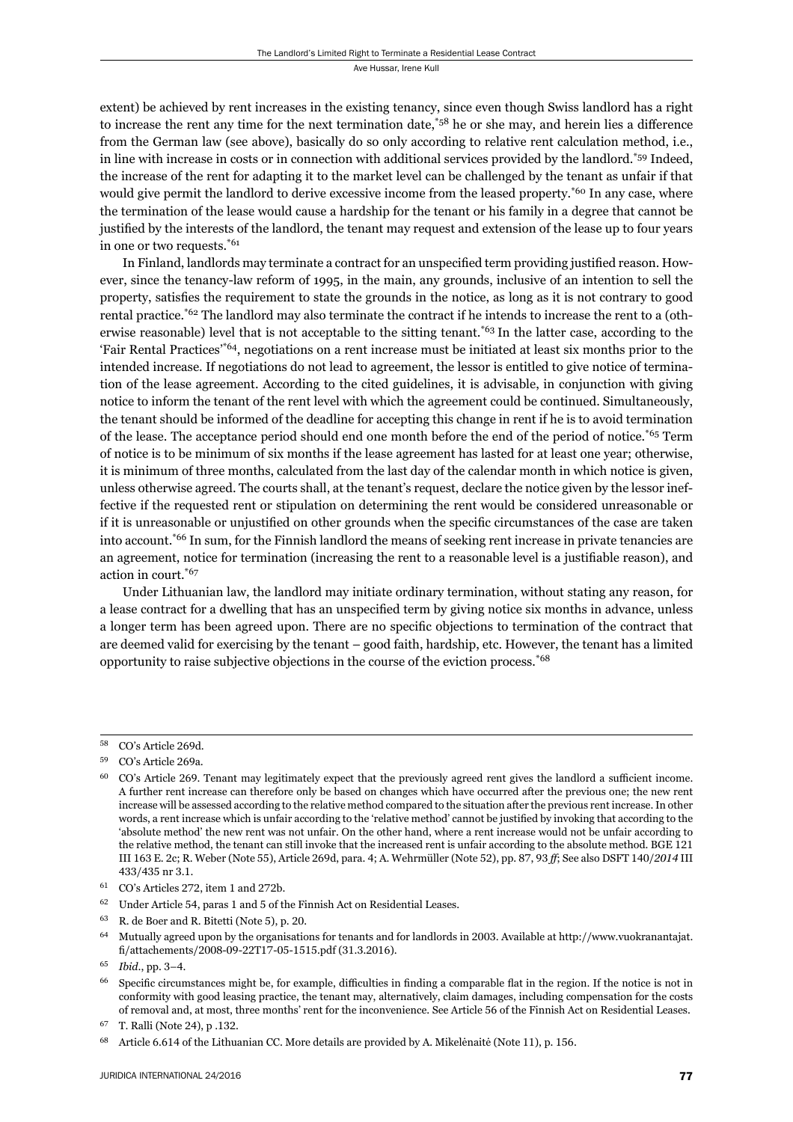extent) be achieved by rent increases in the existing tenancy, since even though Swiss landlord has a right to increase the rent any time for the next termination date,  $58$  he or she may, and herein lies a difference from the German law (see above), basically do so only according to relative rent calculation method, i.e., in line with increase in costs or in connection with additional services provided by the landlord.\*59 Indeed, the increase of the rent for adapting it to the market level can be challenged by the tenant as unfair if that would give permit the landlord to derive excessive income from the leased property.<sup>\*60</sup> In any case, where the termination of the lease would cause a hardship for the tenant or his family in a degree that cannot be justified by the interests of the landlord, the tenant may request and extension of the lease up to four years in one or two requests.\*61

In Finland, landlords may terminate a contract for an unspecified term providing justified reason. However, since the tenancy-law reform of 1995, in the main, any grounds, inclusive of an intention to sell the property, satisfies the requirement to state the grounds in the notice, as long as it is not contrary to good rental practice.\*62 The landlord may also terminate the contract if he intends to increase the rent to a (otherwise reasonable) level that is not acceptable to the sitting tenant.\*63 In the latter case, according to the 'Fair Rental Practices'\*64, negotiations on a rent increase must be initiated at least six months prior to the intended increase. If negotiations do not lead to agreement, the lessor is entitled to give notice of termination of the lease agreement. According to the cited guidelines, it is advisable, in conjunction with giving notice to inform the tenant of the rent level with which the agreement could be continued. Simultaneously, the tenant should be informed of the deadline for accepting this change in rent if he is to avoid termination of the lease. The acceptance period should end one month before the end of the period of notice.\*65 Term of notice is to be minimum of six months if the lease agreement has lasted for at least one year; otherwise, it is minimum of three months, calculated from the last day of the calendar month in which notice is given, unless otherwise agreed. The courts shall, at the tenant's request, declare the notice given by the lessor ineffective if the requested rent or stipulation on determining the rent would be considered unreasonable or if it is unreasonable or unjustified on other grounds when the specific circumstances of the case are taken into account.\*66 In sum, for the Finnish landlord the means of seeking rent increase in private tenancies are an agreement, notice for termination (increasing the rent to a reasonable level is a justifiable reason), and action in court.\*67

Under Lithuanian law, the landlord may initiate ordinary termination, without stating any reason, for a lease contract for a dwelling that has an unspecified term by giving notice six months in advance, unless a longer term has been agreed upon. There are no specific objections to termination of the contract that are deemed valid for exercising by the tenant – good faith, hardship, etc. However, the tenant has a limited opportunity to raise subjective objections in the course of the eviction process.\*68

- <sup>62</sup> Under Article 54, paras 1 and 5 of the Finnish Act on Residential Leases.
- R. de Boer and R. Bitetti (Note 5), p. 20.
- Mutually agreed upon by the organisations for tenants and for landlords in 2003. Available at http://www.vuokranantajat. fi/attachements/2008-09-22T17-05-1515.pdf (31.3.2016).

<sup>&</sup>lt;sup>58</sup> CO's Article 269d.

<sup>&</sup>lt;sup>59</sup> CO's Article 269a.

 $^{60}$  CO's Article 269. Tenant may legitimately expect that the previously agreed rent gives the landlord a sufficient income. A further rent increase can therefore only be based on changes which have occurred after the previous one; the new rent increase will be assessed according to the relative method compared to the situation after the previous rent increase. In other words, a rent increase which is unfair according to the 'relative method' cannot be justified by invoking that according to the 'absolute method' the new rent was not unfair. On the other hand, where a rent increase would not be unfair according to the relative method, the tenant can still invoke that the increased rent is unfair according to the absolute method. BGE 121 III 163 E. 2c; R. Weber (Note 55), Article 269d, para. 4; A. Wehrmüller (Note 52), pp. 87, 93 ff; See also DSFT 140/*2014* III 433/435 nr 3.1.

 $^{61}$  CO's Articles 272, item 1 and 272b.

<sup>65</sup> *Ibid.*, pp. 3-4.

Specific circumstances might be, for example, difficulties in finding a comparable flat in the region. If the notice is not in conformity with good leasing practice, the tenant may, alternatively, claim damages, including compensation for the costs of removal and, at most, three months' rent for the inconvenience. See Article 56 of the Finnish Act on Residential Leases.

T. Ralli (Note 24), p .132.

<sup>&</sup>lt;sup>68</sup> Article 6.614 of the Lithuanian CC. More details are provided by A. Mikelėnaitė (Note 11), p. 156.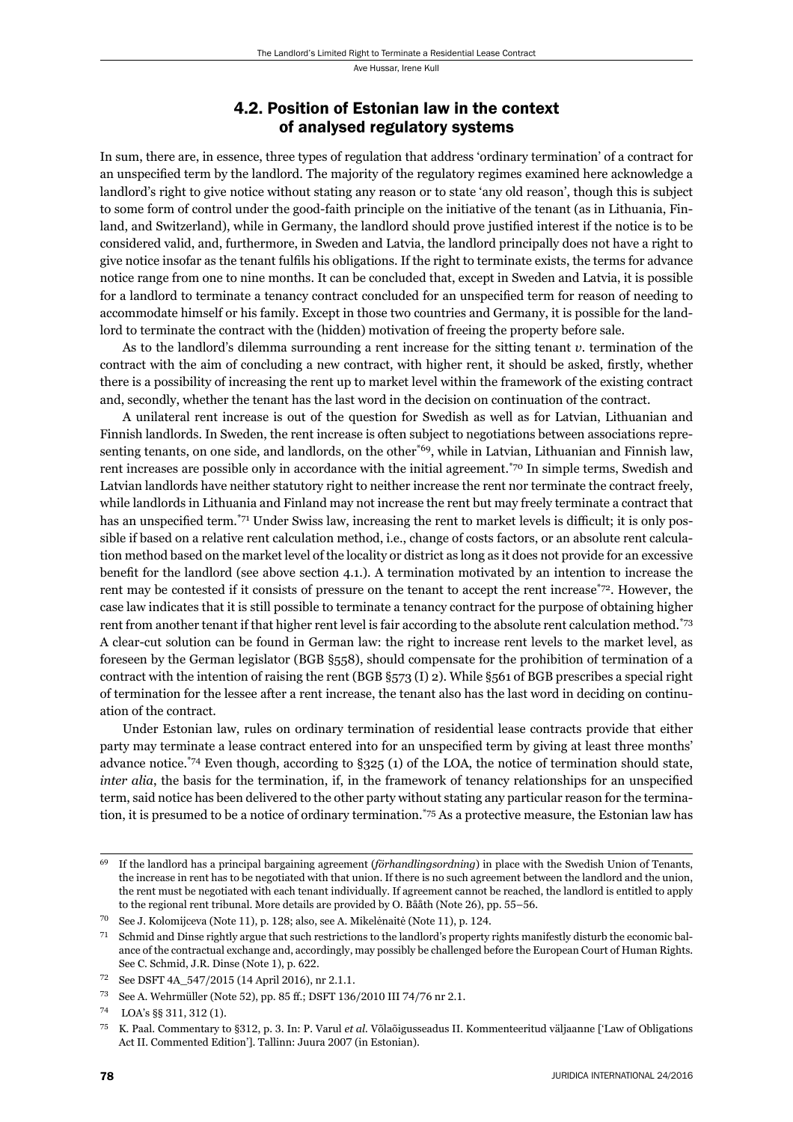#### 4.2. Position of Estonian law in the context of analysed regulatory systems

In sum, there are, in essence, three types of regulation that address 'ordinary termination' of a contract for an unspecified term by the landlord. The majority of the regulatory regimes examined here acknowledge a landlord's right to give notice without stating any reason or to state 'any old reason', though this is subject to some form of control under the good-faith principle on the initiative of the tenant (as in Lithuania, Finland, and Switzerland), while in Germany, the landlord should prove justified interest if the notice is to be considered valid, and, furthermore, in Sweden and Latvia, the landlord principally does not have a right to give notice insofar as the tenant fulfils his obligations. If the right to terminate exists, the terms for advance notice range from one to nine months. It can be concluded that, except in Sweden and Latvia, it is possible for a landlord to terminate a tenancy contract concluded for an unspecified term for reason of needing to accommodate himself or his family. Except in those two countries and Germany, it is possible for the landlord to terminate the contract with the (hidden) motivation of freeing the property before sale.

As to the landlord's dilemma surrounding a rent increase for the sitting tenant *v.* termination of the contract with the aim of concluding a new contract, with higher rent, it should be asked, firstly, whether there is a possibility of increasing the rent up to market level within the framework of the existing contract and, secondly, whether the tenant has the last word in the decision on continuation of the contract.

A unilateral rent increase is out of the question for Swedish as well as for Latvian, Lithuanian and Finnish landlords. In Sweden, the rent increase is often subject to negotiations between associations representing tenants, on one side, and landlords, on the other<sup>\*69</sup>, while in Latvian, Lithuanian and Finnish law, rent increases are possible only in accordance with the initial agreement.\*70 In simple terms, Swedish and Latvian landlords have neither statutory right to neither increase the rent nor terminate the contract freely, while landlords in Lithuania and Finland may not increase the rent but may freely terminate a contract that has an unspecified term.<sup>\*71</sup> Under Swiss law, increasing the rent to market levels is difficult; it is only possible if based on a relative rent calculation method, i.e., change of costs factors, or an absolute rent calculation method based on the market level of the locality or district as long as it does not provide for an excessive benefit for the landlord (see above section 4.1.). A termination motivated by an intention to increase the rent may be contested if it consists of pressure on the tenant to accept the rent increase\*72. However, the case law indicates that it is still possible to terminate a tenancy contract for the purpose of obtaining higher rent from another tenant if that higher rent level is fair according to the absolute rent calculation method.\*73 A clear-cut solution can be found in German law: the right to increase rent levels to the market level, as foreseen by the German legislator (BGB §558), should compensate for the prohibition of termination of a contract with the intention of raising the rent (BGB §573 (I) 2). While §561 of BGB prescribes a special right of termination for the lessee after a rent increase, the tenant also has the last word in deciding on continuation of the contract.

Under Estonian law, rules on ordinary termination of residential lease contracts provide that either party may terminate a lease contract entered into for an unspecified term by giving at least three months' advance notice.<sup>\*74</sup> Even though, according to  $\S 325$  (1) of the LOA, the notice of termination should state, *inter alia*, the basis for the termination, if, in the framework of tenancy relationships for an unspecified term, said notice has been delivered to the other party without stating any particular reason for the termination, it is presumed to be a notice of ordinary termination.\*75 As a protective measure, the Estonian law has

ɷɺ If the landlord has a principal bargaining agreement (*förhandlingsordning*) in place with the Swedish Union of Tenants, the increase in rent has to be negotiated with that union. If there is no such agreement between the landlord and the union, the rent must be negotiated with each tenant individually. If agreement cannot be reached, the landlord is entitled to apply to the regional rent tribunal. More details are provided by O. Bååth (Note 26), pp. 55–56.

 $\frac{70}{10}$  See J. Kolomijceva (Note 11), p. 128; also, see A. Mikelėnaitė (Note 11), p. 124.

 $71$  Schmid and Dinse rightly argue that such restrictions to the landlord's property rights manifestly disturb the economic balance of the contractual exchange and, accordingly, may possibly be challenged before the European Court of Human Rights. See C. Schmid, J.R. Dinse (Note 1), p. 622.

<sup>&</sup>lt;sup>72</sup> See DSFT 4A\_547/2015 (14 April 2016), nr 2.1.1.

<sup>&</sup>lt;sup>73</sup> See A. Wehrmüller (Note 52), pp. 85 ff.; DSFT 136/2010 III 74/76 nr 2.1.

<sup>74</sup> LOA's §§ 311, 312 (1).

<sup>&</sup>lt;sup>75</sup> K. Paal. Commentary to §312, p. 3. In: P. Varul *et al.* Võlaõigusseadus II. Kommenteeritud väljaanne ['Law of Obligations Act II. Commented Edition']. Tallinn: Juura 2007 (in Estonian).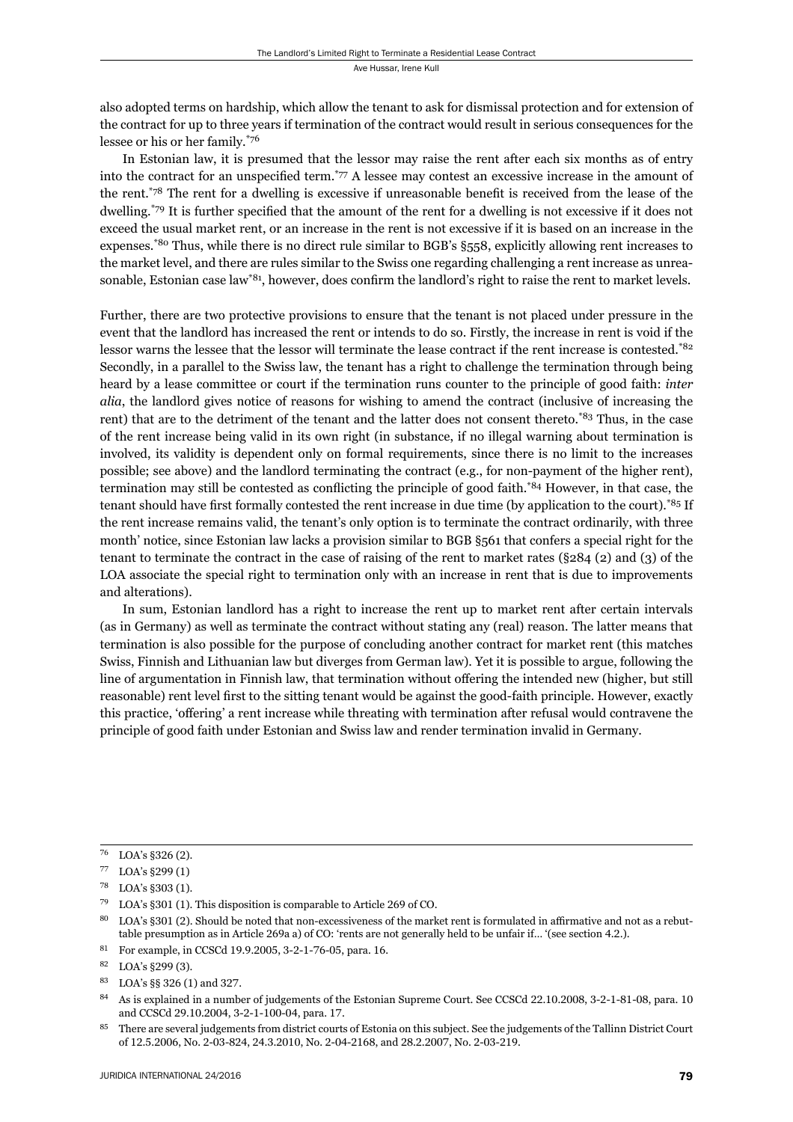also adopted terms on hardship, which allow the tenant to ask for dismissal protection and for extension of the contract for up to three years if termination of the contract would result in serious consequences for the lessee or his or her family.\*76

In Estonian law, it is presumed that the lessor may raise the rent after each six months as of entry into the contract for an unspecified term.<sup>\*77</sup> A lessee may contest an excessive increase in the amount of the rent.<sup>\*78</sup> The rent for a dwelling is excessive if unreasonable benefit is received from the lease of the dwelling.\*79 It is further specified that the amount of the rent for a dwelling is not excessive if it does not exceed the usual market rent, or an increase in the rent is not excessive if it is based on an increase in the expenses.\*80 Thus, while there is no direct rule similar to BGB's §558, explicitly allowing rent increases to the market level, and there are rules similar to the Swiss one regarding challenging a rent increase as unreasonable, Estonian case law<sup>\*81</sup>, however, does confirm the landlord's right to raise the rent to market levels.

Further, there are two protective provisions to ensure that the tenant is not placed under pressure in the event that the landlord has increased the rent or intends to do so. Firstly, the increase in rent is void if the lessor warns the lessee that the lessor will terminate the lease contract if the rent increase is contested.\*82 Secondly, in a parallel to the Swiss law, the tenant has a right to challenge the termination through being heard by a lease committee or court if the termination runs counter to the principle of good faith: *inter alia*, the landlord gives notice of reasons for wishing to amend the contract (inclusive of increasing the rent) that are to the detriment of the tenant and the latter does not consent thereto.\*83 Thus, in the case of the rent increase being valid in its own right (in substance, if no illegal warning about termination is involved, its validity is dependent only on formal requirements, since there is no limit to the increases possible; see above) and the landlord terminating the contract (e.g., for non-payment of the higher rent), termination may still be contested as conflicting the principle of good faith.<sup>\*84</sup> However, in that case, the tenant should have first formally contested the rent increase in due time (by application to the court).\*85 If the rent increase remains valid, the tenant's only option is to terminate the contract ordinarily, with three month' notice, since Estonian law lacks a provision similar to BGB §561 that confers a special right for the tenant to terminate the contract in the case of raising of the rent to market rates (§284 (2) and (3) of the LOA associate the special right to termination only with an increase in rent that is due to improvements and alterations).

In sum, Estonian landlord has a right to increase the rent up to market rent after certain intervals (as in Germany) as well as terminate the contract without stating any (real) reason. The latter means that termination is also possible for the purpose of concluding another contract for market rent (this matches Swiss, Finnish and Lithuanian law but diverges from German law). Yet it is possible to argue, following the line of argumentation in Finnish law, that termination without offering the intended new (higher, but still reasonable) rent level first to the sitting tenant would be against the good-faith principle. However, exactly this practice, 'offering' a rent increase while threating with termination after refusal would contravene the principle of good faith under Estonian and Swiss law and render termination invalid in Germany.

 $76$  LOA's §326 (2).

 $77$  LOA's  $\S 299(1)$ 

<sup>78</sup> LOA's §303 (1).

 $^{79}$  LOA's §301 (1). This disposition is comparable to Article 269 of CO.

LOA's §301 (2). Should be noted that non-excessiveness of the market rent is formulated in affirmative and not as a rebuttable presumption as in Article 269a a) of CO: 'rents are not generally held to be unfair if... '(see section 4.2.).

<sup>&</sup>lt;sup>81</sup> For example, in CCSCd 19.9.2005, 3-2-1-76-05, para. 16.

<sup>82</sup> LOA's §299 (3).

<sup>83</sup> LOA's §§ 326 (1) and 327.

<sup>&</sup>lt;sup>84</sup> As is explained in a number of judgements of the Estonian Supreme Court. See CCSCd 22.10.2008, 3-2-1-81-08, para. 10 and CCSCd 29.10.2004, 3-2-1-100-04, para. 17.

<sup>&</sup>lt;sup>85</sup> There are several judgements from district courts of Estonia on this subject. See the judgements of the Tallinn District Court of 12.5.2006, No. 2-03-824, 24.3.2010, No. 2-04-2168, and 28.2.2007, No. 2-03-219.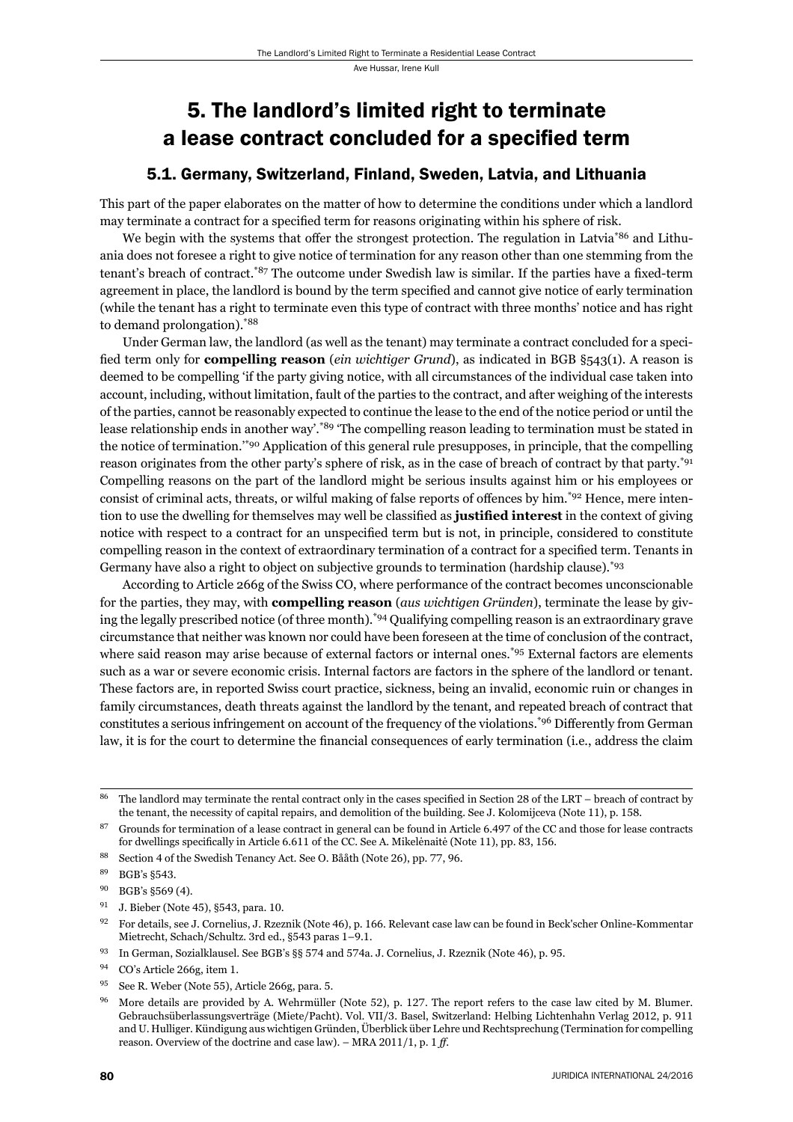## 5. The landlord's limited right to terminate a lease contract concluded for a specified term

### 5.1. Germany, Switzerland, Finland, Sweden, Latvia, and Lithuania

This part of the paper elaborates on the matter of how to determine the conditions under which a landlord may terminate a contract for a specified term for reasons originating within his sphere of risk.

We begin with the systems that offer the strongest protection. The regulation in Latvia<sup>\*86</sup> and Lithuania does not foresee a right to give notice of termination for any reason other than one stemming from the tenant's breach of contract.<sup>\*87</sup> The outcome under Swedish law is similar. If the parties have a fixed-term agreement in place, the landlord is bound by the term specified and cannot give notice of early termination (while the tenant has a right to terminate even this type of contract with three months' notice and has right to demand prolongation).\*88

Under German law, the landlord (as well as the tenant) may terminate a contract concluded for a specified term only for **compelling reason** (*ein wichtiger Grund*), as indicated in BGB §543(1). A reason is deemed to be compelling 'if the party giving notice, with all circumstances of the individual case taken into account, including, without limitation, fault of the parties to the contract, and after weighing of the interests of the parties, cannot be reasonably expected to continue the lease to the end of the notice period or until the lease relationship ends in another way'.\*89 'The compelling reason leading to termination must be stated in the notice of termination.'\*90 Application of this general rule presupposes, in principle, that the compelling reason originates from the other party's sphere of risk, as in the case of breach of contract by that party.<sup>\*91</sup> Compelling reasons on the part of the landlord might be serious insults against him or his employees or consist of criminal acts, threats, or wilful making of false reports of offences by him.<sup>\*92</sup> Hence, mere intention to use the dwelling for themselves may well be classified as **justified interest** in the context of giving notice with respect to a contract for an unspecified term but is not, in principle, considered to constitute compelling reason in the context of extraordinary termination of a contract for a specified term. Tenants in Germany have also a right to object on subjective grounds to termination (hardship clause).<sup>\*93</sup>

According to Article 266g of the Swiss CO, where performance of the contract becomes unconscionable for the parties, they may, with **compelling reason** (*aus wichtigen Gründen*), terminate the lease by giving the legally prescribed notice (of three month).\*94 Qualifying compelling reason is an extraordinary grave circumstance that neither was known nor could have been foreseen at the time of conclusion of the contract, where said reason may arise because of external factors or internal ones.<sup>\*95</sup> External factors are elements such as a war or severe economic crisis. Internal factors are factors in the sphere of the landlord or tenant. These factors are, in reported Swiss court practice, sickness, being an invalid, economic ruin or changes in family circumstances, death threats against the landlord by the tenant, and repeated breach of contract that constitutes a serious infringement on account of the frequency of the violations.<sup>\*96</sup> Differently from German law, it is for the court to determine the financial consequences of early termination (i.e., address the claim

<sup>&</sup>lt;sup>86</sup> The landlord may terminate the rental contract only in the cases specified in Section 28 of the LRT – breach of contract by the tenant, the necessity of capital repairs, and demolition of the building. See J. Kolomijceva (Note 11), p. 158.

Grounds for termination of a lease contract in general can be found in Article 6.497 of the CC and those for lease contracts for dwellings specifically in Article 6.611 of the CC. See A. Mikelėnaitė (Note 11), pp. 83, 156.

<sup>88</sup> Section 4 of the Swedish Tenancy Act. See O. Bååth (Note 26), pp. 77, 96.

<sup>89</sup> BGB's §543.

<sup>&</sup>lt;sup>90</sup> BGB's §569 (4).

<sup>&</sup>lt;sup>91</sup> J. Bieber (Note 45), §543, para. 10.

<sup>&</sup>lt;sup>92</sup> For details, see J. Cornelius, J. Rzeznik (Note 46), p. 166. Relevant case law can be found in Beck'scher Online-Kommentar Mietrecht, Schach/Schultz. 3rd ed., §543 paras 1-9.1.

<sup>&</sup>lt;sup>93</sup> In German, Sozialklausel. See BGB's §§ 574 and 574a. J. Cornelius, J. Rzeznik (Note 46), p. 95.

<sup>&</sup>lt;sup>94</sup> CO's Article 266g, item 1.

<sup>&</sup>lt;sup>95</sup> See R. Weber (Note 55), Article 266g, para. 5.

<sup>&</sup>lt;sup>96</sup> More details are provided by A. Wehrmüller (Note 52), p. 127. The report refers to the case law cited by M. Blumer. Gebrauchsüberlassungsverträge (Miete/Pacht). Vol. VII/3. Basel, Switzerland: Helbing Lichtenhahn Verlag 2012, p. 911 and U. Hulliger. Kündigung aus wichtigen Gründen, Überblick über Lehre und Rechtsprechung (Termination for compelling reason. Overview of the doctrine and case law). – MRA 2011/1, p. 1 ff.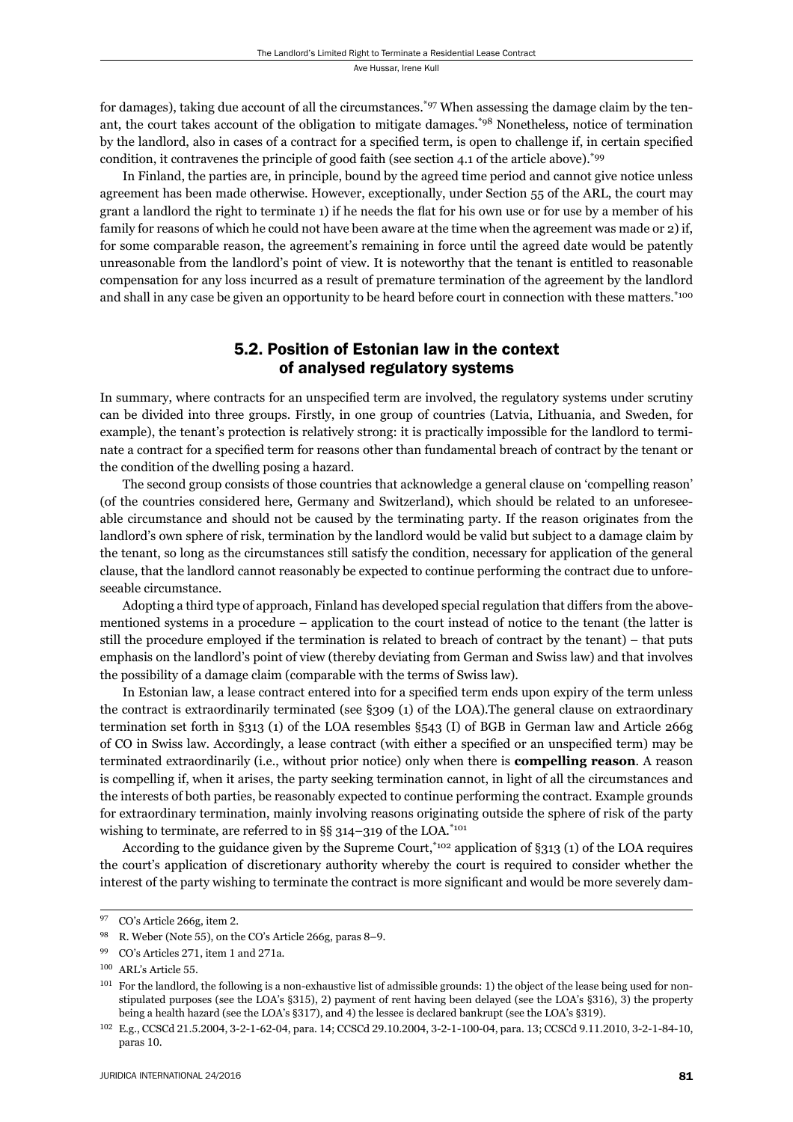for damages), taking due account of all the circumstances.<sup>\*97</sup> When assessing the damage claim by the tenant, the court takes account of the obligation to mitigate damages.\*98 Nonetheless, notice of termination by the landlord, also in cases of a contract for a specified term, is open to challenge if, in certain specified condition, it contravenes the principle of good faith (see section 4.1 of the article above).\*99

In Finland, the parties are, in principle, bound by the agreed time period and cannot give notice unless agreement has been made otherwise. However, exceptionally, under Section 55 of the ARL, the court may grant a landlord the right to terminate 1) if he needs the flat for his own use or for use by a member of his family for reasons of which he could not have been aware at the time when the agreement was made or 2) if, for some comparable reason, the agreement's remaining in force until the agreed date would be patently unreasonable from the landlord's point of view. It is noteworthy that the tenant is entitled to reasonable compensation for any loss incurred as a result of premature termination of the agreement by the landlord and shall in any case be given an opportunity to be heard before court in connection with these matters.<sup>\*100</sup>

#### 5.2. Position of Estonian law in the context of analysed regulatory systems

In summary, where contracts for an unspecified term are involved, the regulatory systems under scrutiny can be divided into three groups. Firstly, in one group of countries (Latvia, Lithuania, and Sweden, for example), the tenant's protection is relatively strong: it is practically impossible for the landlord to terminate a contract for a specified term for reasons other than fundamental breach of contract by the tenant or the condition of the dwelling posing a hazard.

The second group consists of those countries that acknowledge a general clause on 'compelling reason' (of the countries considered here, Germany and Switzerland), which should be related to an unforeseeable circumstance and should not be caused by the terminating party. If the reason originates from the landlord's own sphere of risk, termination by the landlord would be valid but subject to a damage claim by the tenant, so long as the circumstances still satisfy the condition, necessary for application of the general clause, that the landlord cannot reasonably be expected to continue performing the contract due to unforeseeable circumstance.

Adopting a third type of approach, Finland has developed special regulation that differs from the abovementioned systems in a procedure – application to the court instead of notice to the tenant (the latter is still the procedure employed if the termination is related to breach of contract by the tenant) – that puts emphasis on the landlord's point of view (thereby deviating from German and Swiss law) and that involves the possibility of a damage claim (comparable with the terms of Swiss law).

In Estonian law, a lease contract entered into for a specified term ends upon expiry of the term unless the contract is extraordinarily terminated (see §309 (1) of the LOA).The general clause on extraordinary termination set forth in §313 (1) of the LOA resembles §543 (I) of BGB in German law and Article 266g of CO in Swiss law. Accordingly, a lease contract (with either a specified or an unspecified term) may be terminated extraordinarily (i.e., without prior notice) only when there is **compelling reason**. A reason is compelling if, when it arises, the party seeking termination cannot, in light of all the circumstances and the interests of both parties, be reasonably expected to continue performing the contract. Example grounds for extraordinary termination, mainly involving reasons originating outside the sphere of risk of the party wishing to terminate, are referred to in §§ 314–319 of the LOA. $*$ <sup>101</sup>

According to the guidance given by the Supreme Court,\*102 application of §313 (1) of the LOA requires the court's application of discretionary authority whereby the court is required to consider whether the interest of the party wishing to terminate the contract is more significant and would be more severely dam-

<sup>&</sup>lt;sup>97</sup> CO's Article 266g, item 2.

<sup>&</sup>lt;sup>98</sup> R. Weber (Note 55), on the CO's Article 266g, paras 8–9.

<sup>&</sup>lt;sup>99</sup> CO's Articles 271, item 1 and 271a.

<sup>&</sup>lt;sup>100</sup> ARL's Article 55.

<sup>&</sup>lt;sup>101</sup> For the landlord, the following is a non-exhaustive list of admissible grounds: 1) the object of the lease being used for nonstipulated purposes (see the LOA's §315), 2) payment of rent having been delayed (see the LOA's §316), 3) the property being a health hazard (see the LOA's §317), and 4) the lessee is declared bankrupt (see the LOA's §319).

<sup>102</sup> E.g., CCSCd 21.5.2004, 3-2-1-62-04, para. 14; CCSCd 29.10.2004, 3-2-1-100-04, para. 13; CCSCd 9.11.2010, 3-2-1-84-10, paras 10.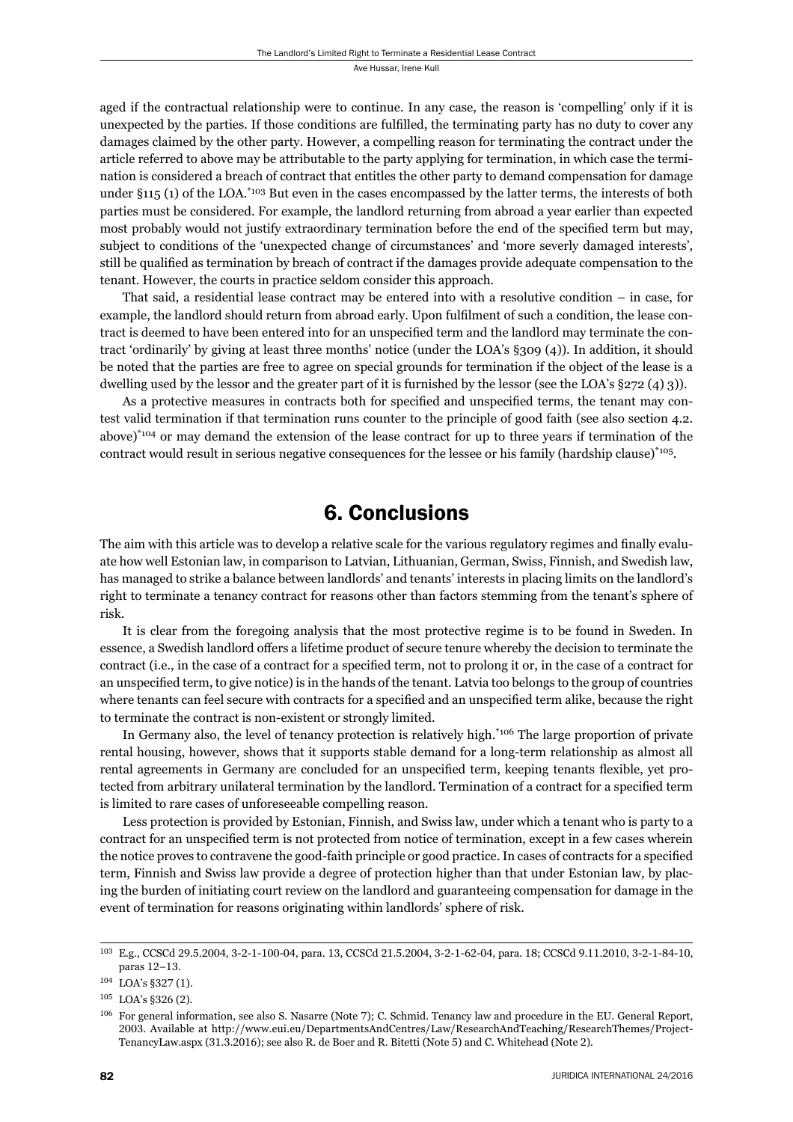aged if the contractual relationship were to continue. In any case, the reason is 'compelling' only if it is unexpected by the parties. If those conditions are fulfilled, the terminating party has no duty to cover any damages claimed by the other party. However, a compelling reason for terminating the contract under the article referred to above may be attributable to the party applying for termination, in which case the termination is considered a breach of contract that entitles the other party to demand compensation for damage under  $\S_{115}$  (1) of the LOA.<sup>\*103</sup> But even in the cases encompassed by the latter terms, the interests of both parties must be considered. For example, the landlord returning from abroad a year earlier than expected most probably would not justify extraordinary termination before the end of the specified term but may, subject to conditions of the 'unexpected change of circumstances' and 'more severly damaged interests', still be qualified as termination by breach of contract if the damages provide adequate compensation to the tenant. However, the courts in practice seldom consider this approach.

That said, a residential lease contract may be entered into with a resolutive condition – in case, for example, the landlord should return from abroad early. Upon fulfilment of such a condition, the lease contract is deemed to have been entered into for an unspecified term and the landlord may terminate the contract 'ordinarily' by giving at least three months' notice (under the LOA's §309 (4)). In addition, it should be noted that the parties are free to agree on special grounds for termination if the object of the lease is a dwelling used by the lessor and the greater part of it is furnished by the lessor (see the LOA's §272 (4) 3)).

As a protective measures in contracts both for specified and unspecified terms, the tenant may contest valid termination if that termination runs counter to the principle of good faith (see also section 4.2. above)\*104 or may demand the extension of the lease contract for up to three years if termination of the contract would result in serious negative consequences for the lessee or his family (hardship clause)\*105.

### 6. Conclusions

The aim with this article was to develop a relative scale for the various regulatory regimes and finally evaluate how well Estonian law, in comparison to Latvian, Lithuanian, German, Swiss, Finnish, and Swedish law, has managed to strike a balance between landlords' and tenants' interests in placing limits on the landlord's right to terminate a tenancy contract for reasons other than factors stemming from the tenant's sphere of risk.

It is clear from the foregoing analysis that the most protective regime is to be found in Sweden. In essence, a Swedish landlord offers a lifetime product of secure tenure whereby the decision to terminate the contract (i.e., in the case of a contract for a specified term, not to prolong it or, in the case of a contract for an unspecified term, to give notice) is in the hands of the tenant. Latvia too belongs to the group of countries where tenants can feel secure with contracts for a specified and an unspecified term alike, because the right to terminate the contract is non-existent or strongly limited.

In Germany also, the level of tenancy protection is relatively high.<sup>\*106</sup> The large proportion of private rental housing, however, shows that it supports stable demand for a long-term relationship as almost all rental agreements in Germany are concluded for an unspecified term, keeping tenants flexible, yet protected from arbitrary unilateral termination by the landlord. Termination of a contract for a specified term is limited to rare cases of unforeseeable compelling reason.

Less protection is provided by Estonian, Finnish, and Swiss law, under which a tenant who is party to a contract for an unspecified term is not protected from notice of termination, except in a few cases wherein the notice proves to contravene the good-faith principle or good practice. In cases of contracts for a specified term, Finnish and Swiss law provide a degree of protection higher than that under Estonian law, by placing the burden of initiating court review on the landlord and guaranteeing compensation for damage in the event of termination for reasons originating within landlords' sphere of risk.

<sup>103</sup> E.g., CCSCd 29.5.2004, 3-2-1-100-04, para. 13, CCSCd 21.5.2004, 3-2-1-62-04, para. 18; CCSCd 9.11.2010, 3-2-1-84-10, paras 12-13.

<sup>104</sup> LOA's §327 (1).

 $105$  LOA's §326 (2).

<sup>106</sup> For general information, see also S. Nasarre (Note 7); C. Schmid. Tenancy law and procedure in the EU. General Report, ɳɱɱɴ. Available at http://www.eui.eu/DepartmentsAndCentres/Law/ResearchAndTeaching/ResearchThemes/Project-TenancyLaw.aspx (31.3.2016); see also R. de Boer and R. Bitetti (Note 5) and C. Whitehead (Note 2).